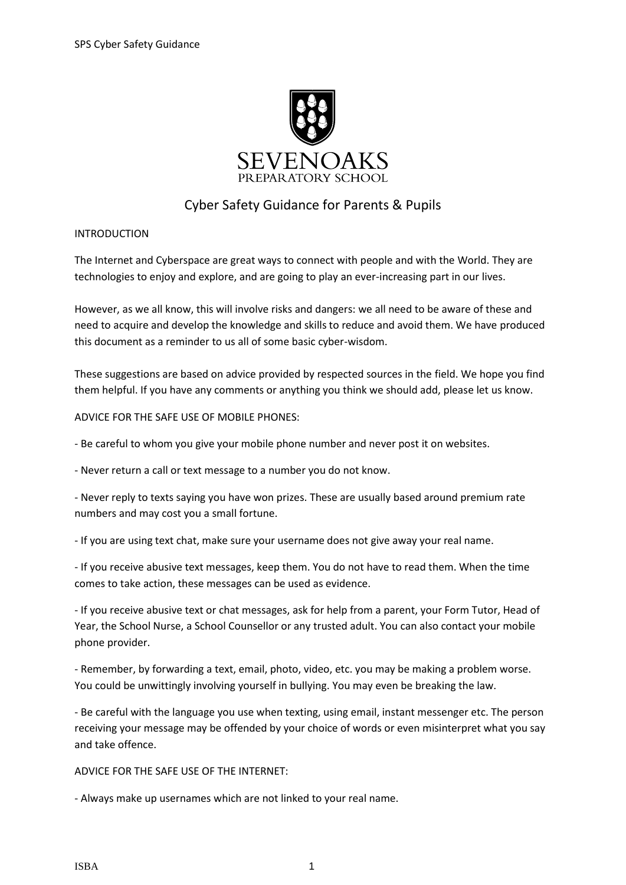

## Cyber Safety Guidance for Parents & Pupils

## INTRODUCTION

The Internet and Cyberspace are great ways to connect with people and with the World. They are technologies to enjoy and explore, and are going to play an ever-increasing part in our lives.

However, as we all know, this will involve risks and dangers: we all need to be aware of these and need to acquire and develop the knowledge and skills to reduce and avoid them. We have produced this document as a reminder to us all of some basic cyber-wisdom.

These suggestions are based on advice provided by respected sources in the field. We hope you find them helpful. If you have any comments or anything you think we should add, please let us know.

## ADVICE FOR THE SAFE USE OF MOBILE PHONES:

- Be careful to whom you give your mobile phone number and never post it on websites.

- Never return a call or text message to a number you do not know.

- Never reply to texts saying you have won prizes. These are usually based around premium rate numbers and may cost you a small fortune.

- If you are using text chat, make sure your username does not give away your real name.

- If you receive abusive text messages, keep them. You do not have to read them. When the time comes to take action, these messages can be used as evidence.

- If you receive abusive text or chat messages, ask for help from a parent, your Form Tutor, Head of Year, the School Nurse, a School Counsellor or any trusted adult. You can also contact your mobile phone provider.

- Remember, by forwarding a text, email, photo, video, etc. you may be making a problem worse. You could be unwittingly involving yourself in bullying. You may even be breaking the law.

- Be careful with the language you use when texting, using email, instant messenger etc. The person receiving your message may be offended by your choice of words or even misinterpret what you say and take offence.

ADVICE FOR THE SAFE USE OF THE INTERNET:

- Always make up usernames which are not linked to your real name.